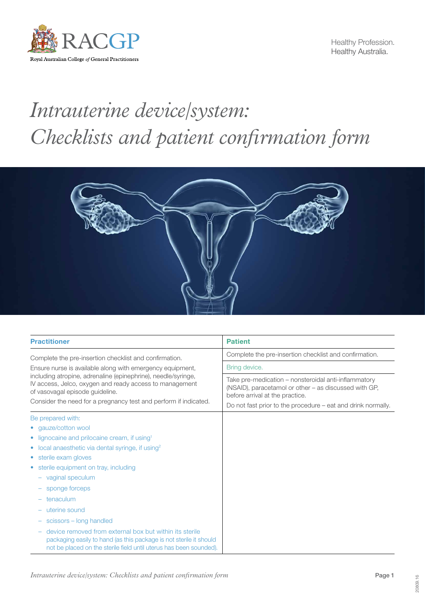

Healthy Profession. Healthy Australia.

## *Intrauterine device/system: Checklists and patient confirmation form*



| <b>Practitioner</b>                                                                                                                                                                                                                                                                                                                                    | <b>Patient</b>                                                                                                                                                                                                   |  |  |
|--------------------------------------------------------------------------------------------------------------------------------------------------------------------------------------------------------------------------------------------------------------------------------------------------------------------------------------------------------|------------------------------------------------------------------------------------------------------------------------------------------------------------------------------------------------------------------|--|--|
| Complete the pre-insertion checklist and confirmation.<br>Ensure nurse is available along with emergency equipment,<br>including atropine, adrenaline (epinephrine), needle/syringe,<br>IV access, Jelco, oxygen and ready access to management<br>of vasovagal episode guideline.<br>Consider the need for a pregnancy test and perform if indicated. | Complete the pre-insertion checklist and confirmation.                                                                                                                                                           |  |  |
|                                                                                                                                                                                                                                                                                                                                                        | Bring device.                                                                                                                                                                                                    |  |  |
|                                                                                                                                                                                                                                                                                                                                                        | Take pre-medication – nonsteroidal anti-inflammatory<br>(NSAID), paracetamol or other – as discussed with GP,<br>before arrival at the practice.<br>Do not fast prior to the procedure – eat and drink normally. |  |  |
| Be prepared with:                                                                                                                                                                                                                                                                                                                                      |                                                                                                                                                                                                                  |  |  |
| • qauze/cotton wool                                                                                                                                                                                                                                                                                                                                    |                                                                                                                                                                                                                  |  |  |
| lignocaine and prilocaine cream, if using <sup>1</sup>                                                                                                                                                                                                                                                                                                 |                                                                                                                                                                                                                  |  |  |
| local anaesthetic via dental syringe, if using <sup>2</sup>                                                                                                                                                                                                                                                                                            |                                                                                                                                                                                                                  |  |  |
| sterile exam gloves                                                                                                                                                                                                                                                                                                                                    |                                                                                                                                                                                                                  |  |  |
| sterile equipment on tray, including                                                                                                                                                                                                                                                                                                                   |                                                                                                                                                                                                                  |  |  |
| vaginal speculum                                                                                                                                                                                                                                                                                                                                       |                                                                                                                                                                                                                  |  |  |
| sponge forceps                                                                                                                                                                                                                                                                                                                                         |                                                                                                                                                                                                                  |  |  |
| tenaculum                                                                                                                                                                                                                                                                                                                                              |                                                                                                                                                                                                                  |  |  |
| uterine sound                                                                                                                                                                                                                                                                                                                                          |                                                                                                                                                                                                                  |  |  |
| scissors – long handled                                                                                                                                                                                                                                                                                                                                |                                                                                                                                                                                                                  |  |  |
| device removed from external box but within its sterile<br>packaging easily to hand (as this package is not sterile it should<br>not be placed on the sterile field until uterus has been sounded).                                                                                                                                                    |                                                                                                                                                                                                                  |  |  |

20809.16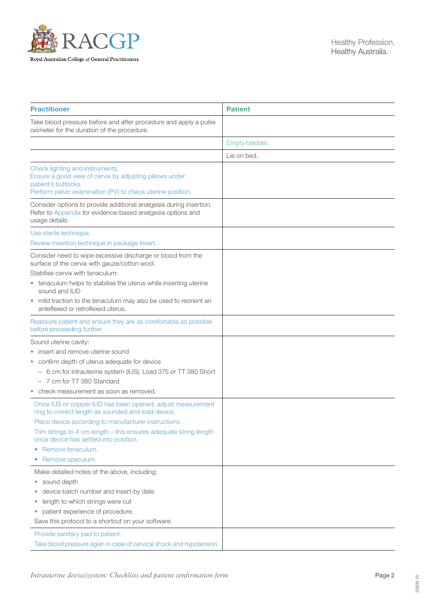

| <b>Practitioner</b>                                                                                                                                                                                                                                                                                                                             | <b>Patient</b> |
|-------------------------------------------------------------------------------------------------------------------------------------------------------------------------------------------------------------------------------------------------------------------------------------------------------------------------------------------------|----------------|
| Take blood pressure before and after procedure and apply a pulse<br>oximeter for the duration of the procedure.                                                                                                                                                                                                                                 |                |
|                                                                                                                                                                                                                                                                                                                                                 | Empty bladder. |
|                                                                                                                                                                                                                                                                                                                                                 | Lie on bed.    |
| Check lighting and instruments.<br>Ensure a good view of cervix by adjusting pillows under<br>patient's buttocks.<br>Perform pelvic examination (PV) to check uterine position.                                                                                                                                                                 |                |
| Consider options to provide additional analgesia during insertion.<br>Refer to Appendix for evidence-based analgesia options and<br>usage details.                                                                                                                                                                                              |                |
| Use sterile technique.                                                                                                                                                                                                                                                                                                                          |                |
| Review insertion technique in package insert.                                                                                                                                                                                                                                                                                                   |                |
| Consider need to wipe excessive discharge or blood from the<br>surface of the cervix with gauze/cotton wool.<br>Stabilise cervix with tenaculum:<br>• tenaculum helps to stabilise the uterus while inserting uterine<br>sound and IUD<br>• mild traction to the tenaculum may also be used to reorient an<br>anteflexed or retroflexed uterus. |                |
| Reassure patient and ensure they are as comfortable as possible<br>before proceeding further.                                                                                                                                                                                                                                                   |                |
| Sound uterine cavity:                                                                                                                                                                                                                                                                                                                           |                |
| insert and remove uterine sound<br>confirm depth of uterus adequate for device<br>- 6 cm for intrauterine system (IUS), Load 375 or TT 380 Short<br>- 7 cm for TT 380 Standard<br>check measurement as soon as removed.                                                                                                                         |                |
| Once IUS or copper IUD has been opened, adjust measurement<br>ring to correct length as sounded and load device.<br>Place device according to manufacturer instructions.<br>Trim strings to 4 cm length - this ensures adequate string length<br>once device has settled into position.<br>Remove tenaculum.<br>۰<br>Remove speculum.<br>۰      |                |
| Make detailed notes of the above, including:<br>sound depth<br>۰<br>device batch number and insert-by date<br>length to which strings were cut<br>۰<br>patient experience of procedure.<br>۰<br>Save this protocol to a shortcut on your software.                                                                                              |                |
| Provide sanitary pad to patient.<br>Take blood pressure again in case of cervical shock and hypotension.                                                                                                                                                                                                                                        |                |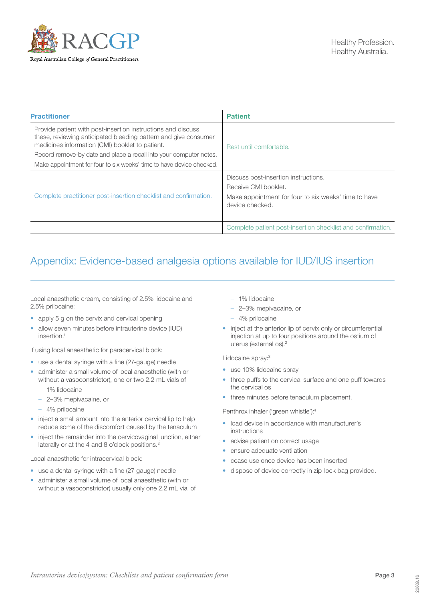

| <b>Practitioner</b>                                                                                                                                                                | <b>Patient</b>                                                          |  |
|------------------------------------------------------------------------------------------------------------------------------------------------------------------------------------|-------------------------------------------------------------------------|--|
| Provide patient with post-insertion instructions and discuss<br>these, reviewing anticipated bleeding pattern and give consumer<br>medicines information (CMI) booklet to patient. | Rest until comfortable.                                                 |  |
| Record remove-by date and place a recall into your computer notes.                                                                                                                 |                                                                         |  |
| Make appointment for four to six weeks' time to have device checked.                                                                                                               |                                                                         |  |
| Complete practitioner post-insertion checklist and confirmation.                                                                                                                   | Discuss post-insertion instructions.                                    |  |
|                                                                                                                                                                                    | Receive CMI booklet.                                                    |  |
|                                                                                                                                                                                    | Make appointment for four to six weeks' time to have<br>device checked. |  |
|                                                                                                                                                                                    | Complete patient post-insertion checklist and confirmation.             |  |

## <span id="page-2-0"></span>Appendix: Evidence-based analgesia options available for IUD/IUS insertion

Local anaesthetic cream, consisting of 2.5% lidocaine and 2.5% prilocaine:

- apply 5 g on the cervix and cervical opening
- allow seven minutes before intrauterine device (IUD)  $in$ sertion<sup>1</sup>

If using local anaesthetic for paracervical block:

- use a dental syringe with a fine (27-gauge) needle
- administer a small volume of local anaesthetic (with or without a vasoconstrictor), one or two 2.2 mL vials of
	- 1% lidocaine
	- 2–3% mepivacaine, or
	- 4% prilocaine
- inject a small amount into the anterior cervical lip to help reduce some of the discomfort caused by the tenaculum
- inject the remainder into the cervicovaginal junction, either laterally or at the 4 and 8 o'clock positions.<sup>2</sup>

Local anaesthetic for intracervical block:

- use a dental syringe with a fine (27-gauge) needle
- administer a small volume of local anaesthetic (with or without a vasoconstrictor) usually only one 2.2 mL vial of
- 1% lidocaine
- 2–3% mepivacaine, or
- 4% prilocaine
- inject at the anterior lip of cervix only or circumferential injection at up to four positions around the ostium of uterus (external os).2

Lidocaine spray:3

- use 10% lidocaine spray
- three puffs to the cervical surface and one puff towards the cervical os
- three minutes before tenaculum placement.

Penthrox inhaler ('green whistle'):4

- load device in accordance with manufacturer's instructions
- advise patient on correct usage
- ensure adequate ventilation
- cease use once device has been inserted
- dispose of device correctly in zip-lock bag provided.